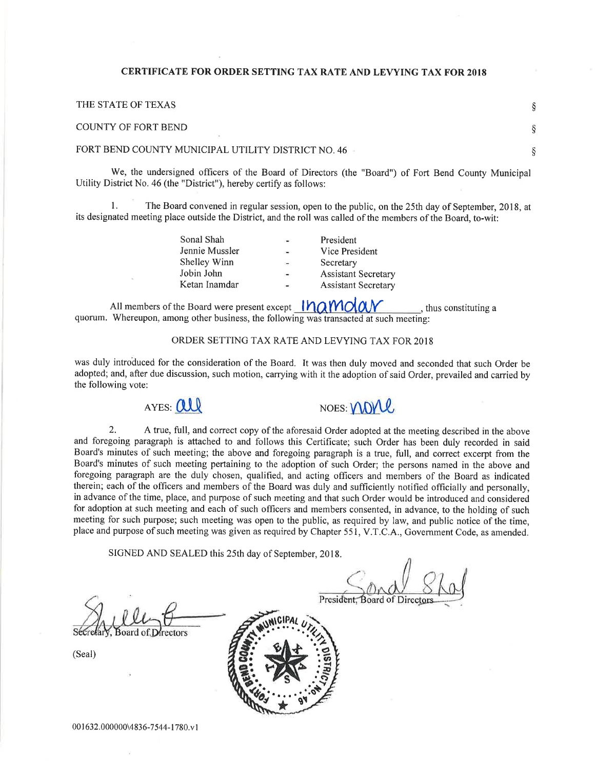### CERTIFICATE FOR ORDER SETTING TAX RATE AND LEVYING TAX FOR 2OI8

THE STATE OF TEXAS COUNTY OF FORT BEND FORT BEND COUNTY MUNICIPAL UTILITY DISTRICT NO. 46 \$  $\S$ \$

We, the undersigned officers of the Board of Directors (the "Board") of Fort Bend County Municipal Utility District No. 46 (the "District"), hereby certify as follows:

1. The Board convened in regular session, open to the public, on the 25th day of September, 2018, at its designated meeting place outside the District, and the roll was called of the members of the Board, to-wit:

| Sonal Shah     | $\blacksquare$           | President                  |
|----------------|--------------------------|----------------------------|
| Jennie Mussler | $\overline{\phantom{a}}$ | Vice President             |
| Shelley Winn   | $\sim$                   | Secretary                  |
| Jobin John     | $\sim$                   | <b>Assistant Secretary</b> |
| Ketan Inamdar  | $\rightarrow$            | <b>Assistant Secretary</b> |
|                |                          |                            |

All members of the Board were present except  $MOMON$ , thus constituting a quorum. Whereupon, among other business, the following was transacted at such meeting:

### ORDER SETTING TAX RATE AND LEVYING TAX FOR 2018

was duly introduced for the consideration of the Board. It was then duly moved and seconded that such Order be adopted; and, after due discussion, such motion, carrying with it the adoption of said Order, prevailed and carried by the following vote:





2. A true, full, and correct copy of the aforesaid Order adopted at the meeting described in the above and foregoing paragraph is attached to and follows this Certificate; such Order has been duly recorded in said Board's minutes of such meeting; the above and foregoing paragraph is a true, full, and correct excerpt from the Board's minutes of such meeting pertaining to the adoption of such Order; the persons named in the above and foregoing paragraph are the duly chosen, qualified, and acting officers and members of the Board as indicated therein; each of the officers and members of the Board was duly and sufficiently notified officially and personally, in advance of the time, place, and purpose of such meeting and that such Order would be introduced and considered for adoption at such meeting and each of such officers and members consented, in advance, to the holding of such meeting for such purpose; such meeting was open to the public, as required by law, and public notice of the time, place and purpose of such meeting was given as required by Chapter 551, V.T.C.A., Government Code, as amended.

SIGNED AND SEALED this 25th day of September, 2018.

**Board of Directors** 

(Seal)

President, Board of Director

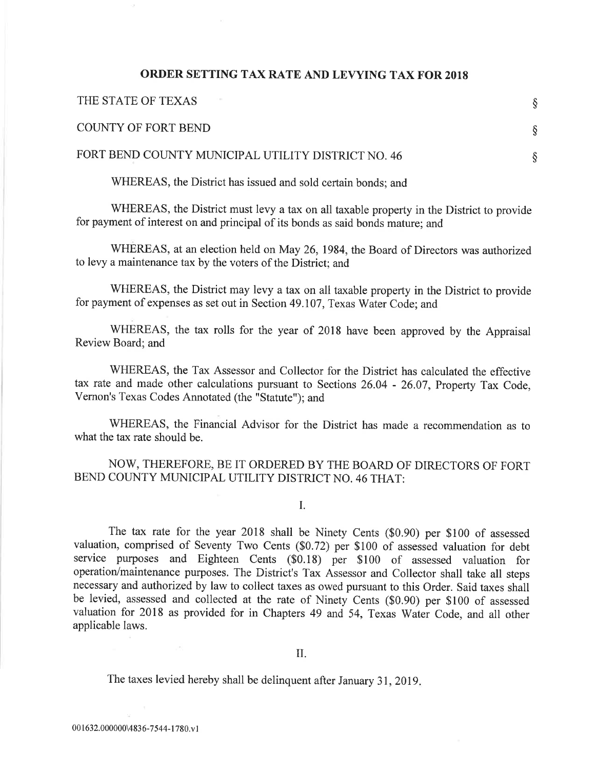## ORDER SETTING TAX RATE AND LEVYING TAX FOR 2OI8

| THE STATE OF TEXAS                                 |  |
|----------------------------------------------------|--|
| <b>COUNTY OF FORT BEND</b>                         |  |
| FORT BEND COUNTY MUNICIPAL UTILITY DISTRICT NO. 46 |  |
|                                                    |  |

WHEREAS, the District has issued and sold certain bonds; and

WHEREAS, the District must levy a tax on all taxable property in the District to provide for payment of interest on and principal of its bonds as said bonds mature; and

WHEREAS, at an election held on May 26,1984, the Board of Directors was authorized to levy a maintenance tax by the voters of the District; and

WHEREAS, the District may levy a tax on all taxable property in the District to provide for payment of expenses as set out in Section 49.107, Texas water code; and

WHEREAS, the tax rolls for the year of 2018 have been approved by the Appraisal Review Board; and

WHEREAS, the Tax Assessor and Collector for the District has calculated the effective tax rate and made other calculations pursuant to Sections 26.04 - 26.07, Property Tax Code, Vernon's Texas Codes Annotated (the "Statute"); and

WHEREAS, the Financial Advisor for the District has made a recommendation as to what the tax rate should be.

# NOW, THEREFORE, BE IT ORDERED BY THE BOARD OF DIRECTORS OF FORT BEND COUNTY MUNICIPAL UTILITY DISTRICT NO. 46 THAT:

I.

The tax rate for the year 2018 shall be Ninety Cents (\$0.90) per \$100 of assessed valuation, comprised of Seventy Two Cents (\$0.72) per \$100 of assessed valuation for debt service purposes and Eighteen Cents (\$0.18) per \$100 of assessed valuation for operation/maintenance purposes. The District's Tax Assessor and Collector shall take all steps necessary and authorized by law to collect taxes as owed pursuant to this Order. Said taxes shall be levied, assessed and collected at the rate of Ninety Cents (\$0.90) per \$100 of assessed valuation for 2018 as provided for in Chapters 49 and 54, Texas Water Code, and all other applicable laws.

The taxes levied hereby shall be delinquent after January 31, 2019.

 $\alpha$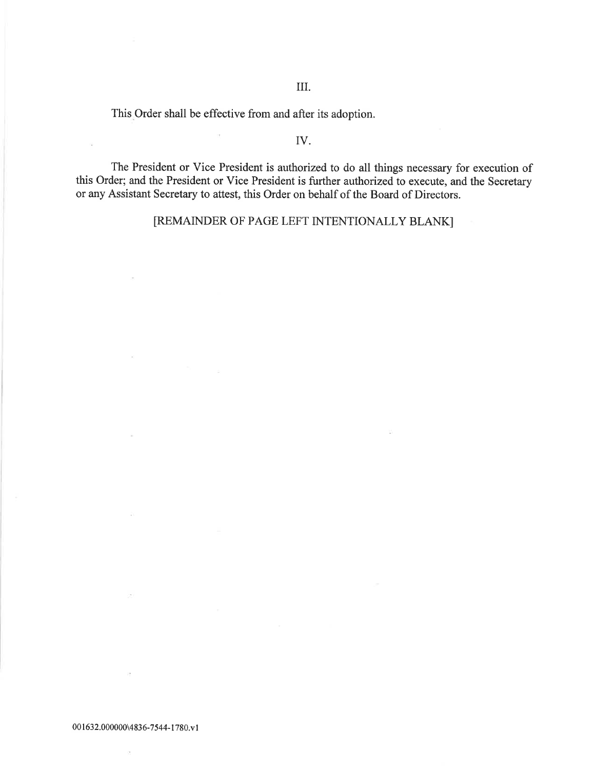III.

This Order shall be effective from and after its adoption.

 $\overline{\mathcal{O}}$ 

 $\sim$ 

 $\bar{u}$ 

## IV.

The President or Vice President is authorized to do all things necessary for execution of this Order; and the President or Vice President is further authorized to execute, and the Secretary or any Assistant Secretary to attest, this Order on behalf of the Board of Directors.

[REMAINDER OF PAGE LEFT INTENTIONALLY BLANK]

 $\alpha$